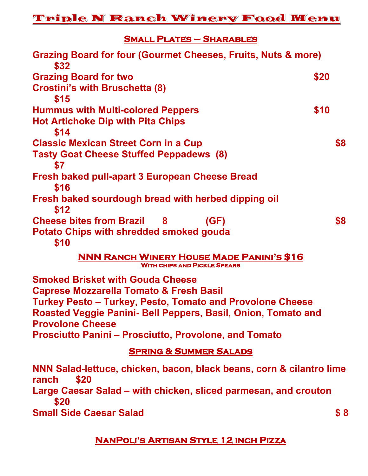## **Small Plates – Sharables**

| Grazing Board for four (Gourmet Cheeses, Fruits, Nuts & more)<br>\$32                   |      |     |
|-----------------------------------------------------------------------------------------|------|-----|
| <b>Grazing Board for two</b>                                                            | \$20 |     |
| <b>Crostini's with Bruschetta (8)</b>                                                   |      |     |
| \$15                                                                                    |      |     |
| <b>Hummus with Multi-colored Peppers</b>                                                | \$10 |     |
| <b>Hot Artichoke Dip with Pita Chips</b>                                                |      |     |
| \$14                                                                                    |      |     |
| <b>Classic Mexican Street Corn in a Cup</b>                                             |      | \$8 |
| <b>Tasty Goat Cheese Stuffed Peppadews (8)</b><br>\$7                                   |      |     |
| Fresh baked pull-apart 3 European Cheese Bread<br>\$16                                  |      |     |
| Fresh baked sourdough bread with herbed dipping oil<br>\$12                             |      |     |
| <b>Cheese bites from Brazil 8</b><br>(GF)                                               |      | \$8 |
| Potato Chips with shredded smoked gouda<br>\$10                                         |      |     |
| <b>NNN RANCH WINERY HOUSE MADE PANINI'S \$16</b><br><b>WITH CHIPS AND PICKLE SPEARS</b> |      |     |
| <b>Smoked Brisket with Gouda Cheese</b>                                                 |      |     |
| Canroso Mozzarolla Tomato & Frosh Rasil                                                 |      |     |

**Caprese Mozzarella Tomato & Fresh Basil Turkey Pesto – Turkey, Pesto, Tomato and Provolone Cheese Roasted Veggie Panini- Bell Peppers, Basil, Onion, Tomato and Provolone Cheese Prosciutto Panini – Prosciutto, Provolone, and Tomato**

## **Spring & Summer Salads**

**NNN Salad-lettuce, chicken, bacon, black beans, corn & cilantro lime ranch \$20 Large Caesar Salad – with chicken, sliced parmesan, and crouton \$20 Small Side Caesar Salad \$ 8** 

## **NanPoli's Artisan Style 12 inch Pizza**